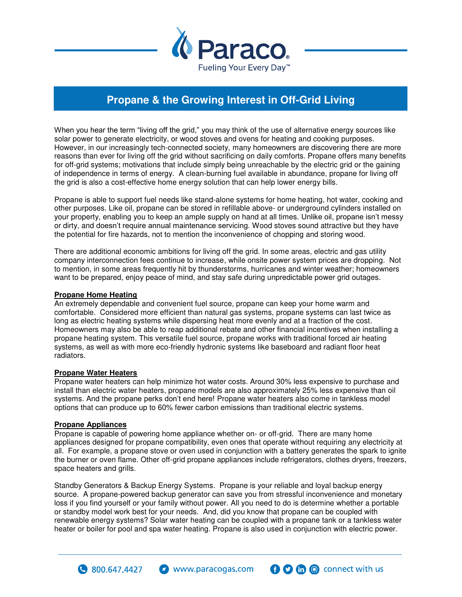

## **Propane & the Growing Interest in Off-Grid Living**

When you hear the term "living off the grid," you may think of the use of alternative energy sources like solar power to generate electricity, or wood stoves and ovens for heating and cooking purposes. However, in our increasingly tech-connected society, many homeowners are discovering there are more reasons than ever for living off the grid without sacrificing on daily comforts. Propane offers many benefits for off-grid systems; motivations that include simply being unreachable by the electric grid or the gaining of independence in terms of energy. A clean-burning fuel available in abundance, propane for living off the grid is also a cost-effective home energy solution that can help lower energy bills.

Propane is able to support fuel needs like stand-alone systems for home heating, hot water, cooking and other purposes. Like oil, propane can be stored in refillable above- or underground cylinders installed on your property, enabling you to keep an ample supply on hand at all times. Unlike oil, propane isn't messy or dirty, and doesn't require annual maintenance servicing. Wood stoves sound attractive but they have the potential for fire hazards, not to mention the inconvenience of chopping and storing wood.

There are additional economic ambitions for living off the grid. In some areas, electric and gas utility company interconnection fees continue to increase, while onsite power system prices are dropping. Not to mention, in some areas frequently hit by thunderstorms, hurricanes and winter weather; homeowners want to be prepared, enjoy peace of mind, and stay safe during unpredictable power grid outages.

## **Propane Home Heating**

An extremely dependable and convenient fuel source, propane can keep your home warm and comfortable. Considered more efficient than natural gas systems, propane systems can last twice as long as electric heating systems while dispersing heat more evenly and at a fraction of the cost. Homeowners may also be able to reap additional rebate and other financial incentives when installing a propane heating system. This versatile fuel source, propane works with traditional forced air heating systems, as well as with more eco-friendly hydronic systems like baseboard and radiant floor heat radiators.

## **Propane Water Heaters**

Propane water heaters can help minimize hot water costs. Around 30% less expensive to purchase and install than electric water heaters, propane models are also approximately 25% less expensive than oil systems. And the propane perks don't end here! Propane water heaters also come in tankless model options that can produce up to 60% fewer carbon emissions than traditional electric systems.

## **Propane Appliances**

 $\bullet$  800,647,4427

Propane is capable of powering home appliance whether on- or off-grid. There are many home appliances designed for propane compatibility, even ones that operate without requiring any electricity at all. For example, a propane stove or oven used in conjunction with a battery generates the spark to ignite the burner or oven flame. Other off-grid propane appliances include refrigerators, clothes dryers, freezers, space heaters and grills.

Standby Generators & Backup Energy Systems. Propane is your reliable and loyal backup energy source. A propane-powered backup generator can save you from stressful inconvenience and monetary loss if you find yourself or your family without power. All you need to do is determine whether a portable or standby model work best for your needs. And, did you know that propane can be coupled with renewable energy systems? Solar water heating can be coupled with a propane tank or a tankless water heater or boiler for pool and spa water heating. Propane is also used in conjunction with electric power.

www.paracogas.com

**O** C connect with us